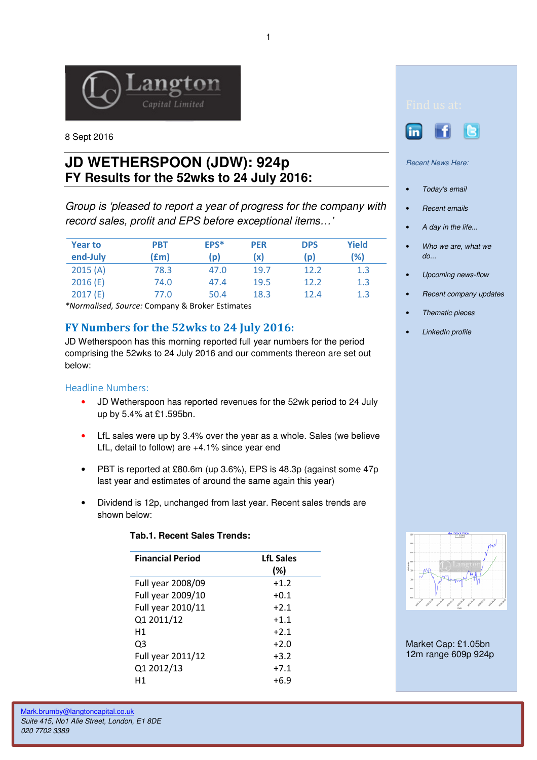

8 Sept 2016

# **JD WETHERSPOON (JDW): 924p FY Results for the 52wks to 24 July 2016:**

Group is 'pleased to report a year of progress for the company with record sales, profit and EPS before exceptional items…'

| <b>Year to</b><br>end-July | <b>PBT</b><br>f(m) | EPS*<br>(p) | <b>PER</b><br>(x) | <b>DPS</b><br>(p) | Yield<br>(%) |
|----------------------------|--------------------|-------------|-------------------|-------------------|--------------|
| 2015(A)                    | 78.3               | 47.0        | 19.7              | 12.2              | 1.3          |
| 2016(E)                    | 74.0               | 47.4        | 19.5              | 12.2              | 1.3          |
| 2017(E)                    | 77.0               | 50.4        | 18.3              | 12.4              | 1.3          |

\*Normalised, Source: Company & Broker Estimates

## FY Numbers for the 52wks to 24 July 2016:

JD Wetherspoon has this morning reported full year numbers for the period comprising the 52wks to 24 July 2016 and our comments thereon are set out below:

### Headline Numbers:

- JD Wetherspoon has reported revenues for the 52wk period to 24 July up by 5.4% at £1.595bn.
- LfL sales were up by 3.4% over the year as a whole. Sales (we believe LfL, detail to follow) are +4.1% since year end
- PBT is reported at £80.6m (up 3.6%), EPS is 48.3p (against some 47p last year and estimates of around the same again this year)
- Dividend is 12p, unchanged from last year. Recent sales trends are shown below:

| <b>Financial Period</b> | <b>LfL Sales</b><br>(%) |
|-------------------------|-------------------------|
| Full year 2008/09       | $+1.2$                  |
| Full year 2009/10       | $+0.1$                  |
| Full year 2010/11       | $+2.1$                  |
| Q1 2011/12              | $+1.1$                  |
| H1                      | $+2.1$                  |
| Q3                      | $+2.0$                  |
| Full year 2011/12       | $+3.2$                  |
| Q1 2012/13              | $+7.1$                  |
| Η1                      | $+6.9$                  |

### **Tab.1. Recent Sales Trends:**





Recent News Here:

- Today's email
- Recent emails
- A day in the life...
- Who we are, what we do...
- Upcoming news-flow
- Recent company updates
- Thematic pieces
- LinkedIn profile



Market Cap: £1.05bn 12m range 609p 924p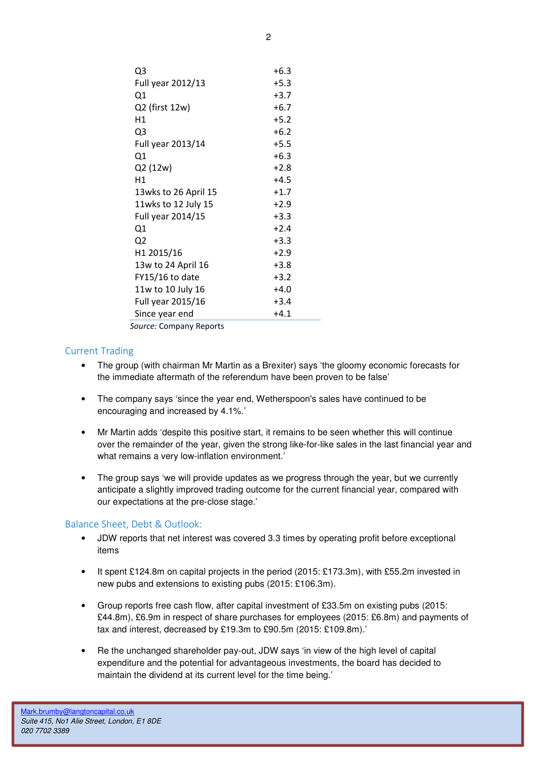| Q <sub>3</sub>       | $+6.3$ |
|----------------------|--------|
| Full year 2012/13    | $+5.3$ |
| Q1                   | $+3.7$ |
| Q2 (first 12w)       | $+6.7$ |
| Η1                   | $+5.2$ |
| Q <sub>3</sub>       | $+6.2$ |
| Full year 2013/14    | $+5.5$ |
| Q1                   | $+6.3$ |
| Q2 (12w)             | $+2.8$ |
| Η1                   | $+4.5$ |
| 13wks to 26 April 15 | $+1.7$ |
| 11wks to 12 July 15  | $+2.9$ |
| Full year 2014/15    | $+3.3$ |
| Q1                   | $+2.4$ |
| Q <sub>2</sub>       | $+3.3$ |
| H1 2015/16           | $+2.9$ |
| 13w to 24 April 16   | $+3.8$ |
| FY15/16 to date      | $+3.2$ |
| 11w to 10 July 16    | $+4.0$ |
| Full year 2015/16    | $+3.4$ |
| Since year end       | $+4.1$ |
|                      |        |

Source: Company Reports

#### Current Trading

- The group (with chairman Mr Martin as a Brexiter) says 'the gloomy economic forecasts for the immediate aftermath of the referendum have been proven to be false'
- The company says 'since the year end, Wetherspoon's sales have continued to be encouraging and increased by 4.1%.'
- Mr Martin adds 'despite this positive start, it remains to be seen whether this will continue over the remainder of the year, given the strong like-for-like sales in the last financial year and what remains a very low-inflation environment.'
- The group says 'we will provide updates as we progress through the year, but we currently anticipate a slightly improved trading outcome for the current financial year, compared with our expectations at the pre-close stage.'

#### Balance Sheet, Debt & Outlook:

- JDW reports that net interest was covered 3.3 times by operating profit before exceptional items
- It spent £124.8m on capital projects in the period (2015: £173.3m), with £55.2m invested in new pubs and extensions to existing pubs (2015: £106.3m).
- Group reports free cash flow, after capital investment of £33.5m on existing pubs (2015: £44.8m), £6.9m in respect of share purchases for employees (2015: £6.8m) and payments of tax and interest, decreased by £19.3m to £90.5m (2015: £109.8m).'
- Re the unchanged shareholder pay-out, JDW says 'in view of the high level of capital expenditure and the potential for advantageous investments, the board has decided to maintain the dividend at its current level for the time being.'